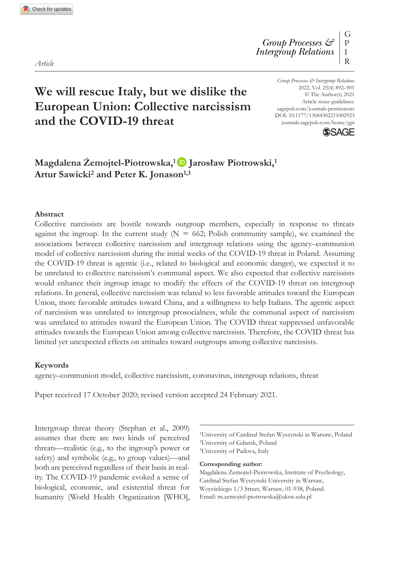*Article*

# **We will rescue Italy, but we dislike the European Union: Collective narcissism and the COVID-19 threat**

https://doi.org/10.1177/13684302211002923 *Group Processes & Intergroup Relations* 2022, Vol. 25(4) 892–901 © The Author(s) 2021 Article reuse guidelines: [sagepub.com/journals-permissions](https://uk.sagepub.com/en-gb/journals-permissions) journals.sagepub.com/home/gpi



## **Magdalena Żemojtel-Piotrowska,<sup>1</sup> Jarosław Piotrowski,<sup>1</sup> Artur Sawicki2 and Peter K. Jonason1,3**

#### **Abstract**

Collective narcissists are hostile towards outgroup members, especially in response to threats against the ingroup. In the current study  $(N = 662;$  Polish community sample), we examined the associations between collective narcissism and intergroup relations using the agency–communion model of collective narcissism during the initial weeks of the COVID-19 threat in Poland. Assuming the COVID-19 threat is agentic (i.e., related to biological and economic danger), we expected it to be unrelated to collective narcissism's communal aspect. We also expected that collective narcissists would enhance their ingroup image to modify the effects of the COVID-19 threat on intergroup relations. In general, collective narcissism was related to less favorable attitudes toward the European Union, more favorable attitudes toward China, and a willingness to help Italians. The agentic aspect of narcissism was unrelated to intergroup prosocialness, while the communal aspect of narcissism was unrelated to attitudes toward the European Union. The COVID threat suppressed unfavorable attitudes towards the European Union among collective narcissists. Therefore, the COVID threat has limited yet unexpected effects on attitudes toward outgroups among collective narcissists.

#### **Keywords**

agency–communion model, collective narcissism, coronavirus, intergroup relations, threat

Paper received 17 October 2020; revised version accepted 24 February 2021.

Intergroup threat theory (Stephan et al., 2009) assumes that there are two kinds of perceived threats—realistic (e.g., to the ingroup's power or safety) and symbolic (e.g., to group values)—and both are perceived regardless of their basis in reality. The COVID-19 pandemic evoked a sense of biological, economic, and existential threat for humanity (World Health Organization [WHO],

1University of Cardinal Stefan Wyszynski in Warsaw, Poland 2University of Gdansk, Poland 3University of Padova, Italy

#### **Corresponding author:**

Magdalena Żemojtel-Piotrowska, Institute of Psychology, Cardinal Stefan Wyszynski University in Warsaw, Woycickiego 1/3 Street, Warsaw, 01-938, Poland. Email: [m.zemojtel-piotrowska@uksw.edu.pl](mailto:m.zemojtel-piotrowska@uksw.edu.pl)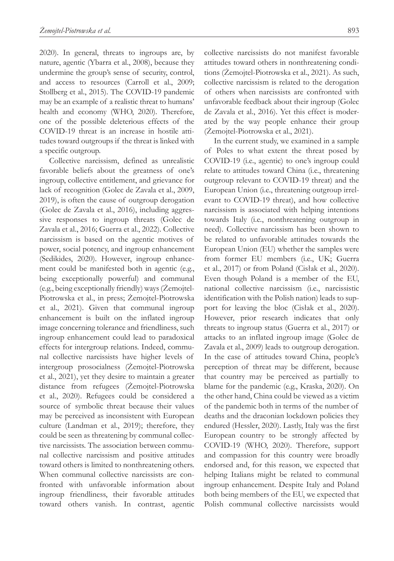2020). In general, threats to ingroups are, by nature, agentic (Ybarra et al., 2008), because they undermine the group's sense of security, control, and access to resources (Carroll et al., 2009; Stollberg et al., 2015). The COVID-19 pandemic may be an example of a realistic threat to humans' health and economy (WHO, 2020). Therefore, one of the possible deleterious effects of the COVID-19 threat is an increase in hostile attitudes toward outgroups if the threat is linked with a specific outgroup.

Collective narcissism, defined as unrealistic favorable beliefs about the greatness of one's ingroup, collective entitlement, and grievance for lack of recognition (Golec de Zavala et al., 2009, 2019), is often the cause of outgroup derogation (Golec de Zavala et al., 2016), including aggressive responses to ingroup threats (Golec de Zavala et al., 2016; Guerra et al., 2022). Collective narcissism is based on the agentic motives of power, social potency, and ingroup enhancement (Sedikides, 2020). However, ingroup enhancement could be manifested both in agentic (e.g., being exceptionally powerful) and communal (e.g., being exceptionally friendly) ways (Żemojtel-Piotrowska et al., in press; Żemojtel-Piotrowska et al., 2021). Given that communal ingroup enhancement is built on the inflated ingroup image concerning tolerance and friendliness, such ingroup enhancement could lead to paradoxical effects for intergroup relations. Indeed, communal collective narcissists have higher levels of intergroup prosocialness (Żemojtel-Piotrowska et al., 2021), yet they desire to maintain a greater distance from refugees (Żemojtel-Piotrowska et al., 2020). Refugees could be considered a source of symbolic threat because their values may be perceived as inconsistent with European culture (Landman et al., 2019); therefore, they could be seen as threatening by communal collective narcissists. The association between communal collective narcissism and positive attitudes toward others is limited to nonthreatening others. When communal collective narcissists are confronted with unfavorable information about ingroup friendliness, their favorable attitudes toward others vanish. In contrast, agentic

collective narcissists do not manifest favorable attitudes toward others in nonthreatening conditions (Żemojtel-Piotrowska et al., 2021). As such, collective narcissism is related to the derogation of others when narcissists are confronted with unfavorable feedback about their ingroup (Golec de Zavala et al., 2016). Yet this effect is moderated by the way people enhance their group (Żemojtel-Piotrowska et al., 2021).

In the current study, we examined in a sample of Poles to what extent the threat posed by COVID-19 (i.e., agentic) to one's ingroup could relate to attitudes toward China (i.e., threatening outgroup relevant to COVID-19 threat) and the European Union (i.e., threatening outgroup irrelevant to COVID-19 threat), and how collective narcissism is associated with helping intentions towards Italy (i.e., nonthreatening outgroup in need). Collective narcissism has been shown to be related to unfavorable attitudes towards the European Union (EU) whether the samples were from former EU members (i.e., UK; Guerra et al., 2017) or from Poland (Cisłak et al., 2020). Even though Poland is a member of the EU, national collective narcissism (i.e., narcissistic identification with the Polish nation) leads to support for leaving the bloc (Cisłak et al., 2020). However, prior research indicates that only threats to ingroup status (Guerra et al., 2017) or attacks to an inflated ingroup image (Golec de Zavala et al., 2009) leads to outgroup derogation. In the case of attitudes toward China, people's perception of threat may be different, because that country may be perceived as partially to blame for the pandemic (e.g., Kraska, 2020). On the other hand, China could be viewed as a victim of the pandemic both in terms of the number of deaths and the draconian lockdown policies they endured (Hessler, 2020). Lastly, Italy was the first European country to be strongly affected by COVID-19 (WHO, 2020). Therefore, support and compassion for this country were broadly endorsed and, for this reason, we expected that helping Italians might be related to communal ingroup enhancement. Despite Italy and Poland both being members of the EU, we expected that Polish communal collective narcissists would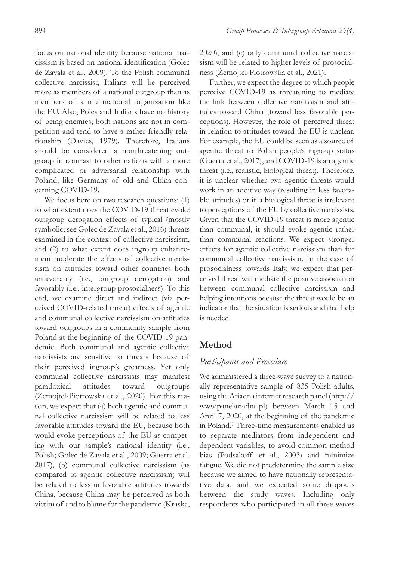focus on national identity because national narcissism is based on national identification (Golec de Zavala et al., 2009). To the Polish communal collective narcissist, Italians will be perceived more as members of a national outgroup than as members of a multinational organization like the EU. Also, Poles and Italians have no history of being enemies; both nations are not in competition and tend to have a rather friendly relationship (Davies, 1979). Therefore, Italians should be considered a nonthreatening outgroup in contrast to other nations with a more complicated or adversarial relationship with Poland, like Germany of old and China concerning COVID-19.

We focus here on two research questions:  $(1)$ to what extent does the COVID-19 threat evoke outgroup derogation effects of typical (mostly symbolic; see Golec de Zavala et al., 2016) threats examined in the context of collective narcissism, and (2) to what extent does ingroup enhancement moderate the effects of collective narcissism on attitudes toward other countries both unfavorably (i.e., outgroup derogation) and favorably (i.e., intergroup prosocialness). To this end, we examine direct and indirect (via perceived COVID-related threat) effects of agentic and communal collective narcissism on attitudes toward outgroups in a community sample from Poland at the beginning of the COVID-19 pandemic. Both communal and agentic collective narcissists are sensitive to threats because of their perceived ingroup's greatness. Yet only communal collective narcissists may manifest paradoxical attitudes toward outgroups (Żemojtel-Piotrowska et al., 2020). For this reason, we expect that (a) both agentic and communal collective narcissism will be related to less favorable attitudes toward the EU, because both would evoke perceptions of the EU as competing with our sample's national identity (i.e., Polish; Golec de Zavala et al., 2009; Guerra et al. 2017), (b) communal collective narcissism (as compared to agentic collective narcissism) will be related to less unfavorable attitudes towards China, because China may be perceived as both victim of and to blame for the pandemic (Kraska,

2020), and (c) only communal collective narcissism will be related to higher levels of prosocialness (Żemojtel-Piotrowska et al., 2021).

Further, we expect the degree to which people perceive COVID-19 as threatening to mediate the link between collective narcissism and attitudes toward China (toward less favorable perceptions). However, the role of perceived threat in relation to attitudes toward the EU is unclear. For example, the EU could be seen as a source of agentic threat to Polish people's ingroup status (Guerra et al., 2017), and COVID-19 is an agentic threat (i.e., realistic, biological threat). Therefore, it is unclear whether two agentic threats would work in an additive way (resulting in less favorable attitudes) or if a biological threat is irrelevant to perceptions of the EU by collective narcissists. Given that the COVID-19 threat is more agentic than communal, it should evoke agentic rather than communal reactions. We expect stronger effects for agentic collective narcissism than for communal collective narcissism. In the case of prosocialness towards Italy, we expect that perceived threat will mediate the positive association between communal collective narcissism and helping intentions because the threat would be an indicator that the situation is serious and that help is needed.

## **Method**

## *Participants and Procedure*

We administered a three-wave survey to a nationally representative sample of 835 Polish adults, using the Ariadna internet research panel [\(http://](http://www.panelariadna.pl) [www.panelariadna.pl](http://www.panelariadna.pl)) between March 15 and April 7, 2020, at the beginning of the pandemic in Poland.1 Three-time measurements enabled us to separate mediators from independent and dependent variables, to avoid common method bias (Podsakoff et al., 2003) and minimize fatigue. We did not predetermine the sample size because we aimed to have nationally representative data, and we expected some dropouts between the study waves. Including only respondents who participated in all three waves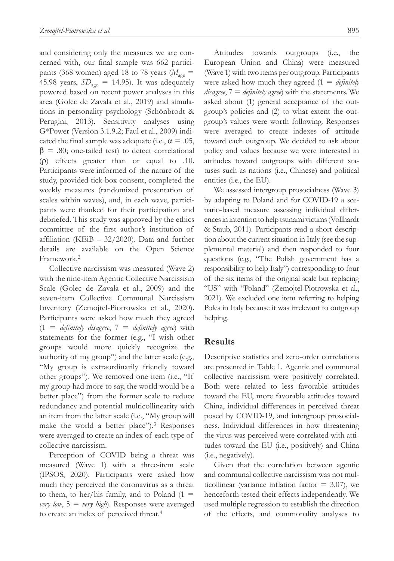and considering only the measures we are concerned with, our final sample was 662 participants (368 women) aged 18 to 78 years ( $M_{\text{age}}$  = 45.98 years,  $SD<sub>age</sub> = 14.95$ ). It was adequately powered based on recent power analyses in this area (Golec de Zavala et al., 2019) and simulations in personality psychology (Schönbrodt & Perugini, 2013). Sensitivity analyses using G\*Power (Version 3.1.9.2; Faul et al., 2009) indicated the final sample was adequate (i.e.,  $\alpha = .05$ ,  $β = .80$ ; one-tailed test) to detect correlational (ρ) effects greater than or equal to .10. Participants were informed of the nature of the study, provided tick-box consent, completed the weekly measures (randomized presentation of scales within waves), and, in each wave, participants were thanked for their participation and debriefed. This study was approved by the ethics committee of the first author's institution of affiliation (KEiB – 32/2020). Data and further details are available on the Open Science Framework.2

Collective narcissism was measured (Wave 2) with the nine-item Agentic Collective Narcissism Scale (Golec de Zavala et al., 2009) and the seven-item Collective Communal Narcissism Inventory (Żemojtel-Piotrowska et al., 2020). Participants were asked how much they agreed (1 = *definitely disagree*, 7 = *definitely agree*) with statements for the former (e.g., "I wish other groups would more quickly recognize the authority of my group") and the latter scale (e.g., "My group is extraordinarily friendly toward other groups"). We removed one item (i.e., "If my group had more to say, the world would be a better place") from the former scale to reduce redundancy and potential multicollinearity with an item from the latter scale (i.e., "My group will make the world a better place").<sup>3</sup> Responses were averaged to create an index of each type of collective narcissism.

Perception of COVID being a threat was measured (Wave 1) with a three-item scale (IPSOS, 2020). Participants were asked how much they perceived the coronavirus as a threat to them, to her/his family, and to Poland  $(1 =$ *very low*,  $5 = \text{very high}$ . Responses were averaged to create an index of perceived threat.4

Attitudes towards outgroups (i.e., the European Union and China) were measured (Wave 1) with two items per outgroup. Participants were asked how much they agreed (1 = *definitely disagree*, 7 = *definitely agree*) with the statements. We asked about (1) general acceptance of the outgroup's policies and (2) to what extent the outgroup's values were worth following. Responses were averaged to create indexes of attitude toward each outgroup. We decided to ask about policy and values because we were interested in attitudes toward outgroups with different statuses such as nations (i.e., Chinese) and political entities (i.e., the EU).

We assessed intergroup prosocialness (Wave 3) by adapting to Poland and for COVID-19 a scenario-based measure assessing individual differences in intention to help tsunami victims (Vollhardt & Staub, 2011). Participants read a short description about the current situation in Italy (see the supplemental material) and then responded to four questions (e.g., "The Polish government has a responsibility to help Italy") corresponding to four of the six items of the original scale but replacing "US" with "Poland" (Żemojtel-Piotrowska et al., 2021). We excluded one item referring to helping Poles in Italy because it was irrelevant to outgroup helping.

## **Results**

Descriptive statistics and zero-order correlations are presented in Table 1. Agentic and communal collective narcissism were positively correlated. Both were related to less favorable attitudes toward the EU, more favorable attitudes toward China, individual differences in perceived threat posed by COVID-19, and intergroup prosocialness. Individual differences in how threatening the virus was perceived were correlated with attitudes toward the EU (i.e., positively) and China (i.e., negatively).

Given that the correlation between agentic and communal collective narcissism was not multicollinear (variance inflation factor  $= 3.07$ ), we henceforth tested their effects independently. We used multiple regression to establish the direction of the effects, and commonality analyses to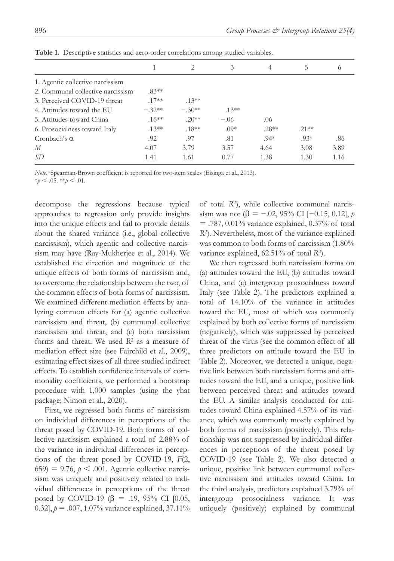|                                   |          | $\mathcal{D}_{\mathcal{L}}$ | 3        | 4                | 5                | $^{(1)}$ |
|-----------------------------------|----------|-----------------------------|----------|------------------|------------------|----------|
| 1. Agentic collective narcissism  |          |                             |          |                  |                  |          |
| 2. Communal collective narcissism | $.83**$  |                             |          |                  |                  |          |
| 3. Perceived COVID-19 threat      | $.17**$  | $.13***$                    |          |                  |                  |          |
| 4. Attitudes toward the EU        | $-.32**$ | $-.30**$                    | $.13***$ |                  |                  |          |
| 5. Attitudes toward China         | $.16***$ | $.20**$                     | $-.06$   | .06              |                  |          |
| 6. Prosocialness toward Italy     | $.13***$ | $.18**$                     | $.09*$   | $.28**$          | $.21**$          |          |
| Cronbach's $\alpha$               | .92      | .97                         | .81      | .94 <sup>a</sup> | .93 <sup>a</sup> | .86      |
| М                                 | 4.07     | 3.79                        | 3.57     | 4.64             | 3.08             | 3.89     |
| SD                                | 1.41     | 1.61                        | 0.77     | 1.38             | 1.30             | 1.16     |

**Table 1.** Descriptive statistics and zero-order correlations among studied variables.

Note. <sup>a</sup>Spearman-Brown coefficient is reported for two-item scales (Eisinga et al., 2013).

 $*_{p}$  < .05.  $*_{p}$  < .01.

decompose the regressions because typical approaches to regression only provide insights into the unique effects and fail to provide details about the shared variance (i.e., global collective narcissism), which agentic and collective narcissism may have (Ray-Mukherjee et al., 2014). We established the direction and magnitude of the unique effects of both forms of narcissism and, to overcome the relationship between the two, of the common effects of both forms of narcissism. We examined different mediation effects by analyzing common effects for (a) agentic collective narcissism and threat, (b) communal collective narcissism and threat, and (c) both narcissism forms and threat. We used *R*2 as a measure of mediation effect size (see Fairchild et al., 2009), estimating effect sizes of all three studied indirect effects. To establish confidence intervals of commonality coefficients, we performed a bootstrap procedure with 1,000 samples (using the yhat package; Nimon et al., 2020).

First, we regressed both forms of narcissism on individual differences in perceptions of the threat posed by COVID-19. Both forms of collective narcissism explained a total of 2.88% of the variance in individual differences in perceptions of the threat posed by COVID-19, *F*(2, 659) = 9.76,  $p < .001$ . Agentic collective narcissism was uniquely and positively related to individual differences in perceptions of the threat posed by COVID-19 (β = .19, 95% CI [0.05, 0.32],  $p = .007, 1.07\%$  variance explained, 37.11%

of total *R*2), while collective communal narcissism was not (β = -.02, 95% CI [-0.15, 0.12], *p*  $=$  .787, 0.01% variance explained, 0.37% of total *R*2). Nevertheless, most of the variance explained was common to both forms of narcissism (1.80% variance explained, 62.51% of total *R*2).

We then regressed both narcissism forms on (a) attitudes toward the EU, (b) attitudes toward China, and (c) intergroup prosocialness toward Italy (see Table 2). The predictors explained a total of 14.10% of the variance in attitudes toward the EU, most of which was commonly explained by both collective forms of narcissism (negatively), which was suppressed by perceived threat of the virus (see the common effect of all three predictors on attitude toward the EU in Table 2). Moreover, we detected a unique, negative link between both narcissism forms and attitudes toward the EU, and a unique, positive link between perceived threat and attitudes toward the EU. A similar analysis conducted for attitudes toward China explained 4.57% of its variance, which was commonly mostly explained by both forms of narcissism (positively). This relationship was not suppressed by individual differences in perceptions of the threat posed by COVID-19 (see Table 2). We also detected a unique, positive link between communal collective narcissism and attitudes toward China. In the third analysis, predictors explained 3.79% of intergroup prosocialness variance. It was uniquely (positively) explained by communal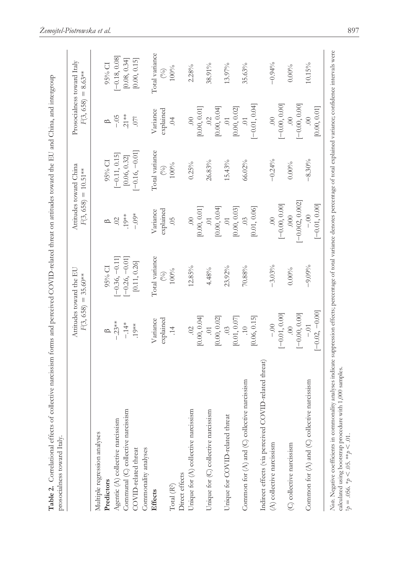|                                                       | F(3, 658)        | Attitudes toward the EU<br>$= 35.60**$ |                   | Attitudes toward China<br>$F(3, 658) = 10.51**$ | F(3, 658)                 | Prosocialness toward Italy<br>$= 8.63**$ |
|-------------------------------------------------------|------------------|----------------------------------------|-------------------|-------------------------------------------------|---------------------------|------------------------------------------|
| Multiple regression analyses                          |                  |                                        |                   |                                                 |                           |                                          |
| Predictors                                            |                  | 95% CI                                 | $\spadesuit$      | 95% CI                                          | $\circ$                   | 95% CI                                   |
| Agentic $(A)$ collective narcissism                   | $-23**$          | $-0.36, -0.11$                         | $\sim$            | $[-0.11, 0.15]$                                 | $-0.5$                    | $[-0.18, 0.08]$                          |
| Communal (C) collective narcissism                    | $-14*$           | $-0.26, -0.01$                         | $19**$            | [0.06, 0.32]                                    | $.21**$                   | [0.08, 0.34]                             |
| COVID-related threat                                  | $.19**$          | [0.11, 0.26]                           | $-0.004$          | $[-0.16, -0.01]$                                | .07 <sup>†</sup>          | [0.00, 0.15]                             |
| Commonality analyses                                  |                  |                                        |                   |                                                 |                           |                                          |
| Effects                                               | Variance         | Total variance                         | Variance          | Total variance                                  | Variance                  | Total variance                           |
|                                                       | explained        | E)                                     | explained         | S                                               | explained                 | $\mathcal{E}$                            |
| Total $(\mathbb{R}^2)$                                | $\overline{14}$  | 100%                                   | 05                | 100%                                            | $\ddot{\mathrm{S}}$       | $100\%$                                  |
| Direct effects                                        |                  |                                        |                   |                                                 |                           |                                          |
| Unique for (A) collective narcissism                  | $\ddot{\circ}$   | 12.85%                                 | $\odot$           | $0.25\%$                                        | $\odot$                   | 2.28%                                    |
|                                                       | [0.00, 0.04]     |                                        | [0.00, 0.01]      |                                                 | [0.00, 0.01]              |                                          |
| Unique for (C) collective narcissism                  | $\overline{C}$   | 4.48%                                  | $\ddot{\circ}$    | 26.83%                                          | $\widetilde{\mathcal{C}}$ | 38.91%                                   |
|                                                       | [0.00, 0.02]     |                                        | [0.00, 0.04]      |                                                 | [0.00, 0.04]              |                                          |
| Unique for COVID-related threat                       | $\ddot{\circ}$   | 23.92%                                 | $\ddot{\circ}$    | 15.43%                                          | $\ddot{\circ}$            | $13.97\%$                                |
|                                                       | [0.01, 0.07]     |                                        | [0.00, 0.03]      |                                                 | [0.00, 0.02]              |                                          |
| Common for $(A)$ and $(C)$ collective narcissism      | $\ddot{=}$       | 70.88%                                 | $\ddot{\odot}$    | 66.02%                                          | $\sum_{i=1}^{n}$          | 35.63%                                   |
|                                                       | [0.06, 0.15]     |                                        | [0.01, 0.06]      |                                                 | $[-0.01, 0.04]$           |                                          |
| Indirect effects (via perceived COVID-related threat) |                  |                                        |                   |                                                 |                           |                                          |
| (A) collective narcissism                             | $-0.0$           | $-3.03%$                               | $\odot$           | $-0.24%$                                        | $\odot$                   | $-0.94%$                                 |
|                                                       | $[-0.01, 0.00]$  |                                        | $[-0.00, 0.00]$   |                                                 | $[-0.00, 0.00]$           |                                          |
| (C) collective narcissism                             | $\odot$          | $0.00\%$                               | 000.              | $0.00\%$                                        | $\odot$                   | $0.00\%$                                 |
|                                                       | $[-0.00, 0.00]$  |                                        | $[-0.002, 0.002]$ |                                                 | $[-0.00, 0.00]$           |                                          |
| Common for (A) and (C) collective narcissism          | $-0.01$          | $-9.09%$                               | $-0.00$           | $-8.30%$                                        | $\odot$                   | 10.15%                                   |
|                                                       | $[-0.02, -0.00]$ |                                        | $[-0.01, 0.00]$   |                                                 | [0.00, 0.01]              |                                          |

*Żemojtel-Piotrowska et al.* 897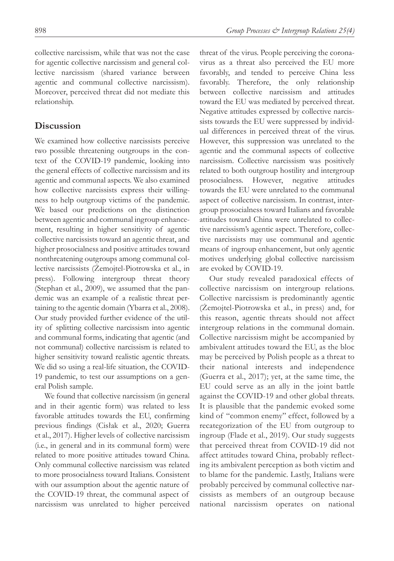collective narcissism, while that was not the case for agentic collective narcissism and general collective narcissism (shared variance between agentic and communal collective narcissism). Moreover, perceived threat did not mediate this relationship.

## **Discussion**

We examined how collective narcissists perceive two possible threatening outgroups in the context of the COVID-19 pandemic, looking into the general effects of collective narcissism and its agentic and communal aspects. We also examined how collective narcissists express their willingness to help outgroup victims of the pandemic. We based our predictions on the distinction between agentic and communal ingroup enhancement, resulting in higher sensitivity of agentic collective narcissists toward an agentic threat, and higher prosocialness and positive attitudes toward nonthreatening outgroups among communal collective narcissists (Żemojtel-Piotrowska et al., in press). Following intergroup threat theory (Stephan et al., 2009), we assumed that the pandemic was an example of a realistic threat pertaining to the agentic domain (Ybarra et al., 2008). Our study provided further evidence of the utility of splitting collective narcissism into agentic and communal forms, indicating that agentic (and not communal) collective narcissism is related to higher sensitivity toward realistic agentic threats. We did so using a real-life situation, the COVID-19 pandemic, to test our assumptions on a general Polish sample.

We found that collective narcissism (in general and in their agentic form) was related to less favorable attitudes towards the EU, confirming previous findings (Cisłak et al., 2020; Guerra et al., 2017). Higher levels of collective narcissism (i.e., in general and in its communal form) were related to more positive attitudes toward China. Only communal collective narcissism was related to more prosocialness toward Italians. Consistent with our assumption about the agentic nature of the COVID-19 threat, the communal aspect of narcissism was unrelated to higher perceived

threat of the virus. People perceiving the coronavirus as a threat also perceived the EU more favorably, and tended to perceive China less favorably. Therefore, the only relationship between collective narcissism and attitudes toward the EU was mediated by perceived threat. Negative attitudes expressed by collective narcissists towards the EU were suppressed by individual differences in perceived threat of the virus. However, this suppression was unrelated to the agentic and the communal aspects of collective narcissism. Collective narcissism was positively related to both outgroup hostility and intergroup prosocialness. However, negative attitudes towards the EU were unrelated to the communal aspect of collective narcissism. In contrast, intergroup prosocialness toward Italians and favorable attitudes toward China were unrelated to collective narcissism's agentic aspect. Therefore, collective narcissists may use communal and agentic means of ingroup enhancement, but only agentic motives underlying global collective narcissism are evoked by COVID-19.

Our study revealed paradoxical effects of collective narcissism on intergroup relations. Collective narcissism is predominantly agentic (Żemojtel-Piotrowska et al., in press) and, for this reason, agentic threats should not affect intergroup relations in the communal domain. Collective narcissism might be accompanied by ambivalent attitudes toward the EU, as the bloc may be perceived by Polish people as a threat to their national interests and independence (Guerra et al., 2017); yet, at the same time, the EU could serve as an ally in the joint battle against the COVID-19 and other global threats. It is plausible that the pandemic evoked some kind of "common enemy" effect, followed by a recategorization of the EU from outgroup to ingroup (Flade et al., 2019). Our study suggests that perceived threat from COVID-19 did not affect attitudes toward China, probably reflecting its ambivalent perception as both victim and to blame for the pandemic. Lastly, Italians were probably perceived by communal collective narcissists as members of an outgroup because national narcissism operates on national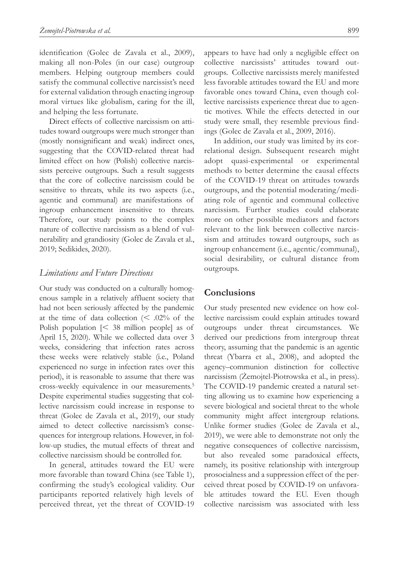identification (Golec de Zavala et al., 2009), making all non-Poles (in our case) outgroup members. Helping outgroup members could satisfy the communal collective narcissist's need for external validation through enacting ingroup moral virtues like globalism, caring for the ill, and helping the less fortunate.

Direct effects of collective narcissism on attitudes toward outgroups were much stronger than (mostly nonsignificant and weak) indirect ones, suggesting that the COVID-related threat had limited effect on how (Polish) collective narcissists perceive outgroups. Such a result suggests that the core of collective narcissism could be sensitive to threats, while its two aspects (i.e., agentic and communal) are manifestations of ingroup enhancement insensitive to threats. Therefore, our study points to the complex nature of collective narcissism as a blend of vulnerability and grandiosity (Golec de Zavala et al., 2019; Sedikides, 2020).

## *Limitations and Future Directions*

Our study was conducted on a culturally homogenous sample in a relatively affluent society that had not been seriously affected by the pandemic at the time of data collection  $\approx$  .02% of the Polish population [< 38 million people] as of April 15, 2020). While we collected data over 3 weeks, considering that infection rates across these weeks were relatively stable (i.e., Poland experienced no surge in infection rates over this period), it is reasonable to assume that there was cross-weekly equivalence in our measurements.5 Despite experimental studies suggesting that collective narcissism could increase in response to threat (Golec de Zavala et al., 2019), our study aimed to detect collective narcissism's consequences for intergroup relations. However, in follow-up studies, the mutual effects of threat and collective narcissism should be controlled for.

In general, attitudes toward the EU were more favorable than toward China (see Table 1), confirming the study's ecological validity. Our participants reported relatively high levels of perceived threat, yet the threat of COVID-19 appears to have had only a negligible effect on collective narcissists' attitudes toward outgroups. Collective narcissists merely manifested less favorable attitudes toward the EU and more favorable ones toward China, even though collective narcissists experience threat due to agentic motives. While the effects detected in our study were small, they resemble previous findings (Golec de Zavala et al., 2009, 2016).

In addition, our study was limited by its correlational design. Subsequent research might adopt quasi-experimental or experimental methods to better determine the causal effects of the COVID-19 threat on attitudes towards outgroups, and the potential moderating/mediating role of agentic and communal collective narcissism. Further studies could elaborate more on other possible mediators and factors relevant to the link between collective narcissism and attitudes toward outgroups, such as ingroup enhancement (i.e., agentic/communal), social desirability, or cultural distance from outgroups.

## **Conclusions**

Our study presented new evidence on how collective narcissism could explain attitudes toward outgroups under threat circumstances. We derived our predictions from intergroup threat theory, assuming that the pandemic is an agentic threat (Ybarra et al., 2008), and adopted the agency–communion distinction for collective narcissism (Żemojtel-Piotrowska et al., in press). The COVID-19 pandemic created a natural setting allowing us to examine how experiencing a severe biological and societal threat to the whole community might affect intergroup relations. Unlike former studies (Golec de Zavala et al., 2019), we were able to demonstrate not only the negative consequences of collective narcissism, but also revealed some paradoxical effects, namely, its positive relationship with intergroup prosocialness and a suppression effect of the perceived threat posed by COVID-19 on unfavorable attitudes toward the EU. Even though collective narcissism was associated with less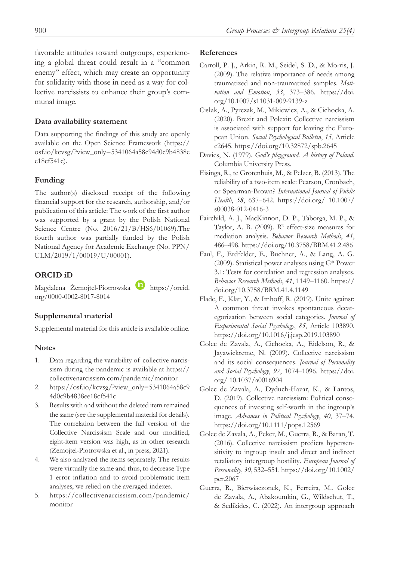favorable attitudes toward outgroups, experiencing a global threat could result in a "common enemy" effect, which may create an opportunity for solidarity with those in need as a way for collective narcissists to enhance their group's communal image.

#### **Data availability statement**

Data supporting the findings of this study are openly available on the Open Science Framework [\(https://](https://osf.io/kcvsg/?view_only=5341064a58c94d0c9b4838ee18cf541c) [osf.io/kcvsg/?view\\_only=5341064a58c94d0c9b4838e](https://osf.io/kcvsg/?view_only=5341064a58c94d0c9b4838ee18cf541c) [e18cf541c\)](https://osf.io/kcvsg/?view_only=5341064a58c94d0c9b4838ee18cf541c).

## **Funding**

The author(s) disclosed receipt of the following financial support for the research, authorship, and/or publication of this article: The work of the first author was supported by a grant by the Polish National Science Centre (No. 2016/21/B/HS6/01069).The fourth author was partially funded by the Polish National Agency for Academic Exchange (No. PPN/ ULM/2019/1/00019/U/00001).

## **ORCID iD**

Magdalena Żemojtel-Piotrowska **h**ttps://orcid. [org/0000-0002-8017-8014](https://orcid.org/0000-0002-8017-8014)

#### **Supplemental material**

Supplemental material for this article is available online.

#### **Notes**

- Data regarding the variability of collective narcissism during the pandemic is available at [https://](https://collectivenarcissism.com/pandemic/monitor) [collectivenarcissism.com/pandemic/monitor](https://collectivenarcissism.com/pandemic/monitor)
- 2. [https://osf.io/kcvsg/?view\\_only=5341064a58c9](https://osf.io/kcvsg/?view_only=5341064a58c94d0c9b4838ee18cf541c) [4d0c9b4838ee18cf541c](https://osf.io/kcvsg/?view_only=5341064a58c94d0c9b4838ee18cf541c)
- 3. Results with and without the deleted item remained the same (see the supplemental material for details). The correlation between the full version of the Collective Narcissism Scale and our modified, eight-item version was high, as in other research (Żemojtel-Piotrowska et al., in press, 2021).
- 4. We also analyzed the items separately. The results were virtually the same and thus, to decrease Type 1 error inflation and to avoid problematic item analyses, we relied on the averaged indexes.
- 5. [https://collectivenarcissism.com/pandemic/](https://collectivenarcissism.com/pandemic/monitor) [monitor](https://collectivenarcissism.com/pandemic/monitor)

#### **References**

- Carroll, P. J., Arkin, R. M., Seidel, S. D., & Morris, J. (2009). The relative importance of needs among traumatized and non-traumatized samples. *Motivation and Emotion*, *33*, 373–386. [https://doi.](https://doi.org/10.1007/s11031-009-9139-z) [org/10.1007/s11031-009-9139-z](https://doi.org/10.1007/s11031-009-9139-z)
- Cisłak, A., Pyrczak, M., Mikiewicz, A., & Cichocka, A. (2020). Brexit and Polexit: Collective narcissism is associated with support for leaving the European Union. *Social Psychological Bulletin*, *15*, Article e2645. <https://doi.org/10.32872/spb.2645>
- Davies, N. (1979). *God's playground. A history of Poland*. Columbia University Press.
- Eisinga, R., te Grotenhuis, M., & Pelzer, B. (2013). The reliability of a two-item scale: Pearson, Cronbach, or Spearman-Brown? *International Journal of Public Health*, *58*, 637–642. <https://doi.org/>10.1007/ s00038-012-0416-3
- Fairchild, A. J., MacKinnon, D. P., Taborga, M. P., & Taylor, A. B. (2009). *R*2 effect-size measures for mediation analysis. *Behavior Research Methods*, *41*, 486–498.<https://doi.org/10.3758/BRM.41.2.486>
- Faul, F., Erdfelder, E., Buchner, A., & Lang, A. G. (2009). Statistical power analyses using G\* Power 3.1: Tests for correlation and regression analyses. *Behavior Research Methods*, *41*, 1149–1160. https:// doi.org/10.3758/BRM.41.4.1149
- Flade, F., Klar, Y., & Imhoff, R. (2019). Unite against: A common threat invokes spontaneous decategorization between social categories. *Journal of Experimental Social Psychology*, *85*, Article 103890. <https://doi.org/10.1016/j.jesp.2019.103890>
- Golec de Zavala, A., Cichocka, A., Eidelson, R., & Jayawickreme, N. (2009). Collective narcissism and its social consequences. *Journal of Personality and Social Psychology*, *97*, 1074–1096. [https://doi.](https://doi.org/) [org/](https://doi.org/) 10.1037/a0016904
- Golec de Zavala, A., Dyduch-Hazar, K., & Lantos, D. (2019). Collective narcissism: Political consequences of investing self-worth in the ingroup's image. *Advances in Political Psychology*, *40*, 37–74. <https://doi.org/10.1111/pops.12569>
- Golec de Zavala, A., Peker, M., Guerra, R., & Baran, T. (2016). Collective narcissism predicts hypersensitivity to ingroup insult and direct and indirect retaliatory intergroup hostility. *European Journal of Personality*, *30*, 532–551. [https://doi.org/10.1002/](https://doi.org/10.1002/per.2067) [per.2067](https://doi.org/10.1002/per.2067)
- Guerra, R., Bierwiaczonek, K., Ferreira, M., Golec de Zavala, A., Abakoumkin, G., Wildschut, T., & Sedikides, C. (2022). An intergroup approach